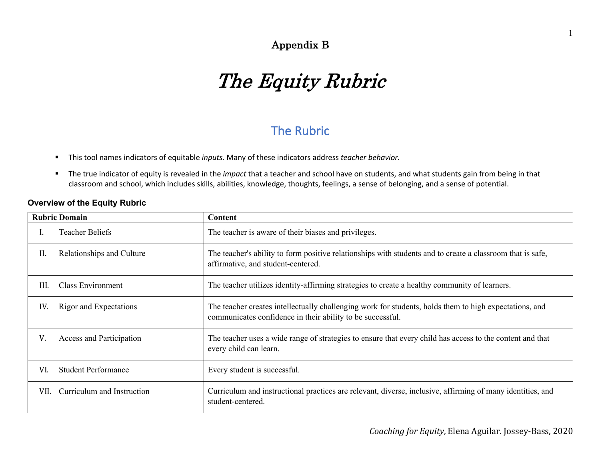## Appendix B

# The Equity Rubric

# The Rubric

- § This tool names indicators of equitable *inputs.* Many of these indicators address *teacher behavior.*
- § The true indicator of equity is revealed in the *impact* that a teacher and school have on students, and what students gain from being in that classroom and school, which includes skills, abilities, knowledge, thoughts, feelings, a sense of belonging, and a sense of potential.

#### **Overview of the Equity Rubric**

|      | <b>Rubric Domain</b>       | Content                                                                                                                                                              |
|------|----------------------------|----------------------------------------------------------------------------------------------------------------------------------------------------------------------|
|      | <b>Teacher Beliefs</b>     | The teacher is aware of their biases and privileges.                                                                                                                 |
| II.  | Relationships and Culture  | The teacher's ability to form positive relationships with students and to create a classroom that is safe,<br>affirmative, and student-centered.                     |
| III. | Class Environment          | The teacher utilizes identity-affirming strategies to create a healthy community of learners.                                                                        |
| IV.  | Rigor and Expectations     | The teacher creates intellectually challenging work for students, holds them to high expectations, and<br>communicates confidence in their ability to be successful. |
| V.   | Access and Participation   | The teacher uses a wide range of strategies to ensure that every child has access to the content and that<br>every child can learn.                                  |
| VI.  | <b>Student Performance</b> | Every student is successful.                                                                                                                                         |
| VII. | Curriculum and Instruction | Curriculum and instructional practices are relevant, diverse, inclusive, affirming of many identities, and<br>student-centered.                                      |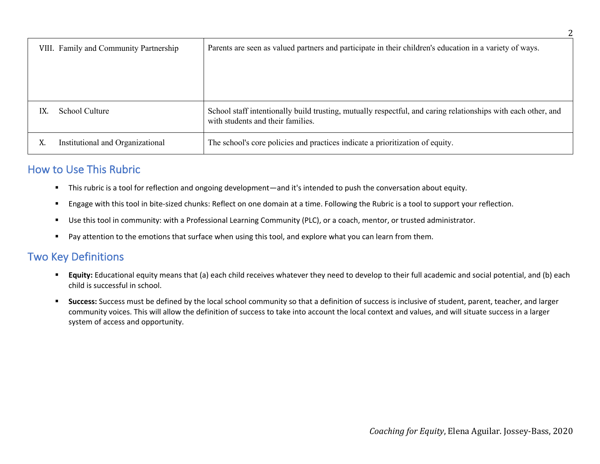| VIII. Family and Community Partnership | Parents are seen as valued partners and participate in their children's education in a variety of ways.                                            |
|----------------------------------------|----------------------------------------------------------------------------------------------------------------------------------------------------|
|                                        |                                                                                                                                                    |
|                                        |                                                                                                                                                    |
| School Culture<br>IX.                  | School staff intentionally build trusting, mutually respectful, and caring relationships with each other, and<br>with students and their families. |
| Institutional and Organizational<br>X. | The school's core policies and practices indicate a prioritization of equity.                                                                      |

## How to Use This Rubric

- § This rubric is a tool for reflection and ongoing development—and it's intended to push the conversation about equity.
- Engage with this tool in bite-sized chunks: Reflect on one domain at a time. Following the Rubric is a tool to support your reflection.
- Use this tool in community: with a Professional Learning Community (PLC), or a coach, mentor, or trusted administrator.
- Pay attention to the emotions that surface when using this tool, and explore what you can learn from them.

### Two Key Definitions

- § **Equity:** Educational equity means that (a) each child receives whatever they need to develop to their full academic and social potential, and (b) each child is successful in school.
- § **Success:** Success must be defined by the local school community so that a definition of success is inclusive of student, parent, teacher, and larger community voices. This will allow the definition of success to take into account the local context and values, and will situate success in a larger system of access and opportunity.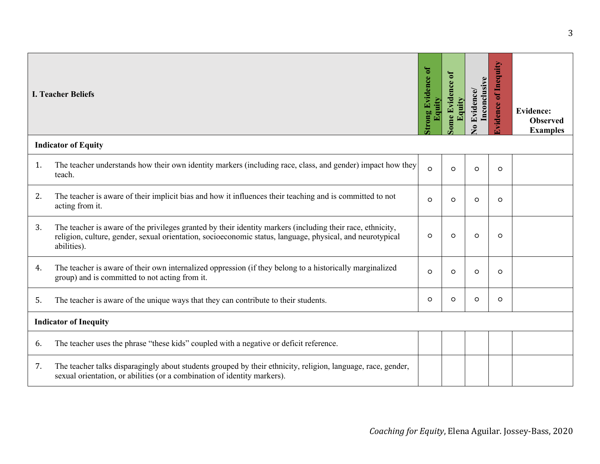|    | <b>I. Teacher Beliefs</b>                                                                                                                                                                                                              | trong Evidence of<br>Equity | ome Evidence of<br>quity | Inconclusive<br><b>Evidence</b> /<br>$\bullet$ | of Inequity<br><b>Tvidence</b> | <b>Evidence:</b><br><b>Observed</b><br><b>Examples</b> |
|----|----------------------------------------------------------------------------------------------------------------------------------------------------------------------------------------------------------------------------------------|-----------------------------|--------------------------|------------------------------------------------|--------------------------------|--------------------------------------------------------|
|    | <b>Indicator of Equity</b>                                                                                                                                                                                                             |                             |                          |                                                |                                |                                                        |
| 1. | The teacher understands how their own identity markers (including race, class, and gender) impact how they<br>teach.                                                                                                                   | $\Omega$                    | $\circ$                  | $\circ$                                        | $\circ$                        |                                                        |
| 2. | The teacher is aware of their implicit bias and how it influences their teaching and is committed to not<br>acting from it.                                                                                                            | $\Omega$                    | $\Omega$                 | $\circ$                                        | $\circ$                        |                                                        |
| 3. | The teacher is aware of the privileges granted by their identity markers (including their race, ethnicity,<br>religion, culture, gender, sexual orientation, socioeconomic status, language, physical, and neurotypical<br>abilities). | $\circ$                     | $\circ$                  | $\circ$                                        | $\circ$                        |                                                        |
| 4. | The teacher is aware of their own internalized oppression (if they belong to a historically marginalized<br>group) and is committed to not acting from it.                                                                             | $\circ$                     | $\circ$                  | $\circ$                                        | $\circ$                        |                                                        |
| 5. | The teacher is aware of the unique ways that they can contribute to their students.                                                                                                                                                    | O                           | $\circ$                  | $\circ$                                        | $\circ$                        |                                                        |
|    | <b>Indicator of Inequity</b>                                                                                                                                                                                                           |                             |                          |                                                |                                |                                                        |
| 6. | The teacher uses the phrase "these kids" coupled with a negative or deficit reference.                                                                                                                                                 |                             |                          |                                                |                                |                                                        |
| 7. | The teacher talks disparagingly about students grouped by their ethnicity, religion, language, race, gender,<br>sexual orientation, or abilities (or a combination of identity markers).                                               |                             |                          |                                                |                                |                                                        |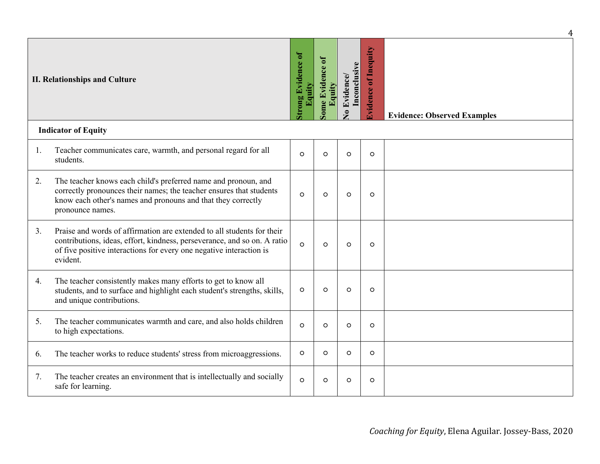|    |                                                                                                                                                                                                                                       |                                  |                           |                                        |                                | 4                                  |
|----|---------------------------------------------------------------------------------------------------------------------------------------------------------------------------------------------------------------------------------------|----------------------------------|---------------------------|----------------------------------------|--------------------------------|------------------------------------|
|    | <b>II. Relationships and Culture</b>                                                                                                                                                                                                  | ong Evidence of<br><b>Equity</b> | ome Evidence of<br>Equity | Inconclusive<br>Evidence/<br>$\bullet$ | of Inequity<br><b>Tvidence</b> | <b>Evidence: Observed Examples</b> |
|    | <b>Indicator of Equity</b>                                                                                                                                                                                                            |                                  |                           |                                        |                                |                                    |
| 1. | Teacher communicates care, warmth, and personal regard for all<br>students.                                                                                                                                                           | $\Omega$                         | $\circ$                   | $\circ$                                | $\circ$                        |                                    |
| 2. | The teacher knows each child's preferred name and pronoun, and<br>correctly pronounces their names; the teacher ensures that students<br>know each other's names and pronouns and that they correctly<br>pronounce names.             | $\circ$                          | $\circ$                   | $\circ$                                | $\circ$                        |                                    |
| 3. | Praise and words of affirmation are extended to all students for their<br>contributions, ideas, effort, kindness, perseverance, and so on. A ratio<br>of five positive interactions for every one negative interaction is<br>evident. | $\Omega$                         | $\circ$                   | $\circ$                                | $\circ$                        |                                    |
| 4. | The teacher consistently makes many efforts to get to know all<br>students, and to surface and highlight each student's strengths, skills,<br>and unique contributions.                                                               | $\circ$                          | $\circ$                   | $\circ$                                | $\circ$                        |                                    |
| 5. | The teacher communicates warmth and care, and also holds children<br>to high expectations.                                                                                                                                            | $\circ$                          | $\circ$                   | $\circ$                                | $\circ$                        |                                    |
| 6. | The teacher works to reduce students' stress from microaggressions.                                                                                                                                                                   | $\circ$                          | $\circ$                   | $\circ$                                | $\circ$                        |                                    |
| 7. | The teacher creates an environment that is intellectually and socially<br>safe for learning.                                                                                                                                          | $\Omega$                         | $\circ$                   | $\circ$                                | $\circ$                        |                                    |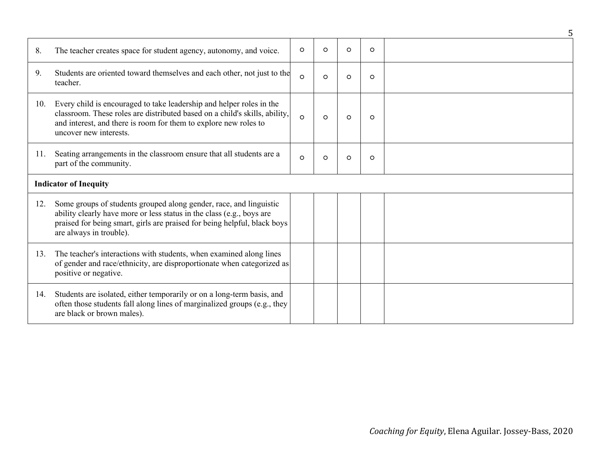|     |                                                                                                                                                                                                                                                    |          |          |         |         | 5 |
|-----|----------------------------------------------------------------------------------------------------------------------------------------------------------------------------------------------------------------------------------------------------|----------|----------|---------|---------|---|
| 8.  | The teacher creates space for student agency, autonomy, and voice.                                                                                                                                                                                 | $\circ$  | $\circ$  | $\circ$ | $\circ$ |   |
| 9.  | Students are oriented toward themselves and each other, not just to the<br>teacher.                                                                                                                                                                | $\Omega$ | $\circ$  | $\circ$ | $\circ$ |   |
| 10. | Every child is encouraged to take leadership and helper roles in the<br>classroom. These roles are distributed based on a child's skills, ability,<br>and interest, and there is room for them to explore new roles to<br>uncover new interests.   | $\Omega$ | $\Omega$ | $\circ$ | $\circ$ |   |
| 11. | Seating arrangements in the classroom ensure that all students are a<br>part of the community.                                                                                                                                                     | $\Omega$ | $\circ$  | $\circ$ | $\circ$ |   |
|     | <b>Indicator of Inequity</b>                                                                                                                                                                                                                       |          |          |         |         |   |
| 12. | Some groups of students grouped along gender, race, and linguistic<br>ability clearly have more or less status in the class (e.g., boys are<br>praised for being smart, girls are praised for being helpful, black boys<br>are always in trouble). |          |          |         |         |   |
| 13. | The teacher's interactions with students, when examined along lines<br>of gender and race/ethnicity, are disproportionate when categorized as<br>positive or negative.                                                                             |          |          |         |         |   |
| 14. | Students are isolated, either temporarily or on a long-term basis, and<br>often those students fall along lines of marginalized groups (e.g., they<br>are black or brown males).                                                                   |          |          |         |         |   |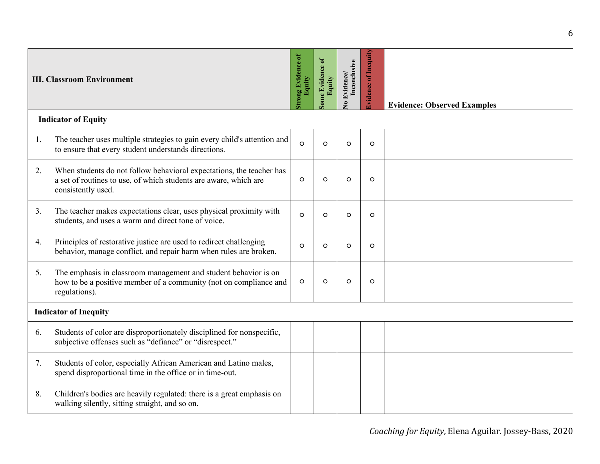|    | <b>III. Classroom Environment</b>                                                                                                                              | rong Evidence of<br>Equity | Some Evidence of<br>Equity | Inconclusive<br>Evidence/<br>$\bullet$ | <b>Ividence of Inequity</b> | <b>Evidence: Observed Examples</b> |
|----|----------------------------------------------------------------------------------------------------------------------------------------------------------------|----------------------------|----------------------------|----------------------------------------|-----------------------------|------------------------------------|
|    | <b>Indicator of Equity</b>                                                                                                                                     |                            |                            |                                        |                             |                                    |
| 1. | The teacher uses multiple strategies to gain every child's attention and<br>to ensure that every student understands directions.                               | $\Omega$                   | $\Omega$                   | $\circ$                                | $\circ$                     |                                    |
| 2. | When students do not follow behavioral expectations, the teacher has<br>a set of routines to use, of which students are aware, which are<br>consistently used. | $\circ$                    | $\Omega$                   | $\circ$                                | $\circ$                     |                                    |
| 3. | The teacher makes expectations clear, uses physical proximity with<br>students, and uses a warm and direct tone of voice.                                      | $\circ$                    | $\circ$                    | $\circ$                                | $\circ$                     |                                    |
| 4. | Principles of restorative justice are used to redirect challenging<br>behavior, manage conflict, and repair harm when rules are broken.                        | $\circ$                    | $\circ$                    | $\circ$                                | $\circ$                     |                                    |
| 5. | The emphasis in classroom management and student behavior is on<br>how to be a positive member of a community (not on compliance and<br>regulations).          | $\circ$                    | $\circ$                    | $\circ$                                | $\circ$                     |                                    |
|    | <b>Indicator of Inequity</b>                                                                                                                                   |                            |                            |                                        |                             |                                    |
| 6. | Students of color are disproportionately disciplined for nonspecific,<br>subjective offenses such as "defiance" or "disrespect."                               |                            |                            |                                        |                             |                                    |
| 7. | Students of color, especially African American and Latino males,<br>spend disproportional time in the office or in time-out.                                   |                            |                            |                                        |                             |                                    |
| 8. | Children's bodies are heavily regulated: there is a great emphasis on<br>walking silently, sitting straight, and so on.                                        |                            |                            |                                        |                             |                                    |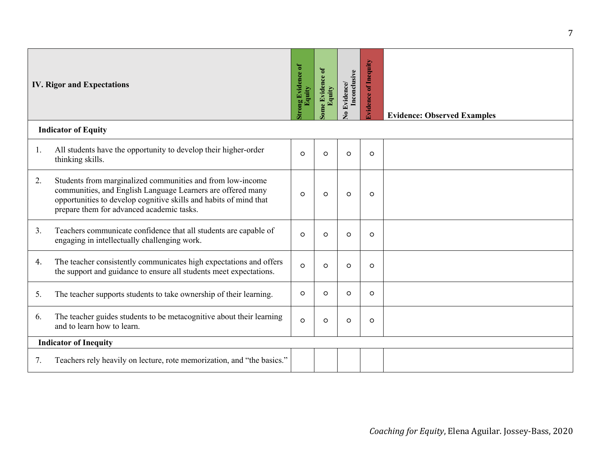|    | <b>IV. Rigor and Expectations</b>                                                                                                                                                                                                           | ong Evidence of<br>Equity | ome Evidence of<br>Equity | Evidence/<br>Inconclusive<br>$\bullet$ | of Inequity<br>lvidence | <b>Evidence: Observed Examples</b> |
|----|---------------------------------------------------------------------------------------------------------------------------------------------------------------------------------------------------------------------------------------------|---------------------------|---------------------------|----------------------------------------|-------------------------|------------------------------------|
|    | <b>Indicator of Equity</b>                                                                                                                                                                                                                  |                           |                           |                                        |                         |                                    |
| 1. | All students have the opportunity to develop their higher-order<br>thinking skills.                                                                                                                                                         | $\Omega$                  | $\circ$                   | $\circ$                                | $\circ$                 |                                    |
| 2. | Students from marginalized communities and from low-income<br>communities, and English Language Learners are offered many<br>opportunities to develop cognitive skills and habits of mind that<br>prepare them for advanced academic tasks. | $\circ$                   | $\circ$                   | $\circ$                                | $\circ$                 |                                    |
| 3. | Teachers communicate confidence that all students are capable of<br>engaging in intellectually challenging work.                                                                                                                            | $\Omega$                  | $\Omega$                  | $\circ$                                | $\circ$                 |                                    |
| 4. | The teacher consistently communicates high expectations and offers<br>the support and guidance to ensure all students meet expectations.                                                                                                    | $\Omega$                  | $\circ$                   | $\circ$                                | $\circ$                 |                                    |
| 5. | The teacher supports students to take ownership of their learning.                                                                                                                                                                          | $\circ$                   | $\circ$                   | $\circ$                                | $\circ$                 |                                    |
| 6. | The teacher guides students to be metacognitive about their learning<br>and to learn how to learn.                                                                                                                                          | $\circ$                   | $\circ$                   | $\circ$                                | $\circ$                 |                                    |
|    | <b>Indicator of Inequity</b>                                                                                                                                                                                                                |                           |                           |                                        |                         |                                    |
| 7. | Teachers rely heavily on lecture, rote memorization, and "the basics."                                                                                                                                                                      |                           |                           |                                        |                         |                                    |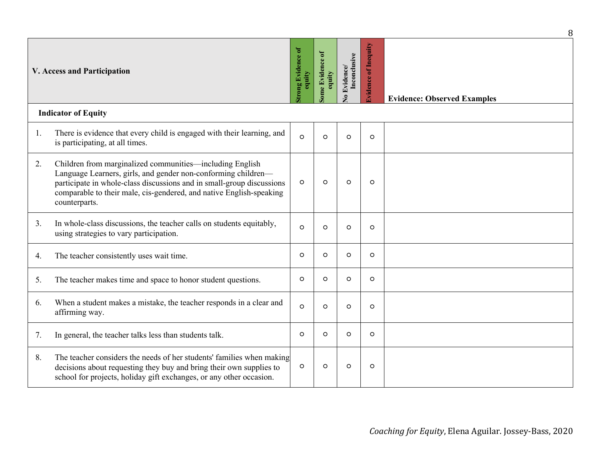|    |                                                                                                                                                                                                                                                                                            |                             |                           |                                        |                                | 8                                  |
|----|--------------------------------------------------------------------------------------------------------------------------------------------------------------------------------------------------------------------------------------------------------------------------------------------|-----------------------------|---------------------------|----------------------------------------|--------------------------------|------------------------------------|
|    | <b>V. Access and Participation</b>                                                                                                                                                                                                                                                         | trong Evidence of<br>equity | ome Evidence of<br>equity | Inconclusive<br>Evidence/<br>$\bullet$ | of Inequity<br><b>Evidence</b> | <b>Evidence: Observed Examples</b> |
|    | <b>Indicator of Equity</b>                                                                                                                                                                                                                                                                 |                             |                           |                                        |                                |                                    |
| 1. | There is evidence that every child is engaged with their learning, and<br>is participating, at all times.                                                                                                                                                                                  | $\Omega$                    | $\circ$                   | $\circ$                                | $\circ$                        |                                    |
| 2. | Children from marginalized communities—including English<br>Language Learners, girls, and gender non-conforming children-<br>participate in whole-class discussions and in small-group discussions<br>comparable to their male, cis-gendered, and native English-speaking<br>counterparts. | $\circ$                     | $\circ$                   | $\circ$                                | $\circ$                        |                                    |
| 3. | In whole-class discussions, the teacher calls on students equitably,<br>using strategies to vary participation.                                                                                                                                                                            | $\Omega$                    | $\circ$                   | $\circ$                                | $\circ$                        |                                    |
| 4. | The teacher consistently uses wait time.                                                                                                                                                                                                                                                   | $\circ$                     | $\circ$                   | $\circ$                                | $\circ$                        |                                    |
| 5. | The teacher makes time and space to honor student questions.                                                                                                                                                                                                                               | $\circ$                     | $\circ$                   | $\circ$                                | $\circ$                        |                                    |
| 6. | When a student makes a mistake, the teacher responds in a clear and<br>affirming way.                                                                                                                                                                                                      | $\Omega$                    | $\Omega$                  | $\circ$                                | $\circ$                        |                                    |
| 7. | In general, the teacher talks less than students talk.                                                                                                                                                                                                                                     | $\Omega$                    | $\Omega$                  | $\Omega$                               | $\circ$                        |                                    |
| 8. | The teacher considers the needs of her students' families when making<br>decisions about requesting they buy and bring their own supplies to<br>school for projects, holiday gift exchanges, or any other occasion.                                                                        | $\circ$                     | $\circ$                   | $\circ$                                | $\circ$                        |                                    |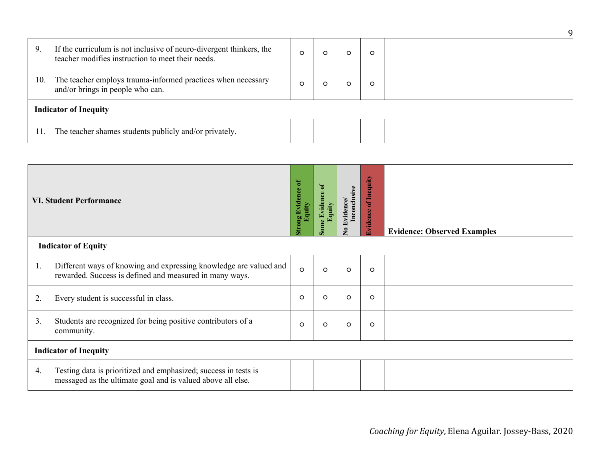| 9.  | If the curriculum is not inclusive of neuro-divergent thinkers, the<br>teacher modifies instruction to meet their needs. | $\circ$ |  |  | O |  |  |  |
|-----|--------------------------------------------------------------------------------------------------------------------------|---------|--|--|---|--|--|--|
| 10. | The teacher employs trauma-informed practices when necessary<br>and/or brings in people who can.                         | $\circ$ |  |  |   |  |  |  |
|     | <b>Indicator of Inequity</b>                                                                                             |         |  |  |   |  |  |  |
|     | The teacher shames students publicly and/or privately.                                                                   |         |  |  |   |  |  |  |

|    | <b>VI. Student Performance</b>                                                                                                 | ong Evidence of<br>quity | <b>Evidence of</b><br>quity<br>ome | Inconclusive<br>vidence/<br>ş | Inequity<br>$\mathbf{f}$<br><b>Ividence</b> | <b>Evidence: Observed Examples</b> |  |
|----|--------------------------------------------------------------------------------------------------------------------------------|--------------------------|------------------------------------|-------------------------------|---------------------------------------------|------------------------------------|--|
|    | <b>Indicator of Equity</b>                                                                                                     |                          |                                    |                               |                                             |                                    |  |
| 1. | Different ways of knowing and expressing knowledge are valued and<br>rewarded. Success is defined and measured in many ways.   | $\circ$                  | $\circ$                            | $\circ$                       | $\circ$                                     |                                    |  |
| 2. | Every student is successful in class.                                                                                          | $\circ$                  | $\circ$                            | $\circ$                       | $\circ$                                     |                                    |  |
| 3. | Students are recognized for being positive contributors of a<br>community.                                                     | $\circ$                  | $\circ$                            | $\circ$                       | $\circ$                                     |                                    |  |
|    | <b>Indicator of Inequity</b>                                                                                                   |                          |                                    |                               |                                             |                                    |  |
| 4. | Testing data is prioritized and emphasized; success in tests is<br>messaged as the ultimate goal and is valued above all else. |                          |                                    |                               |                                             |                                    |  |

9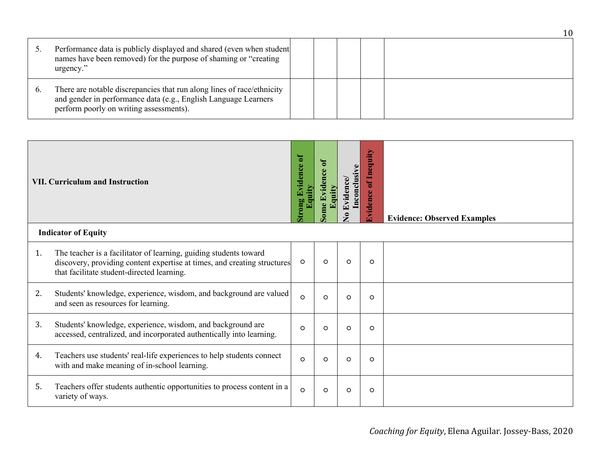| Performance data is publicly displayed and shared (even when student<br>names have been removed) for the purpose of shaming or "creating<br>urgency."                                |  |  |  |
|--------------------------------------------------------------------------------------------------------------------------------------------------------------------------------------|--|--|--|
| There are notable discrepancies that run along lines of race/ethnicity<br>and gender in performance data (e.g., English Language Learners<br>perform poorly on writing assessments). |  |  |  |

|    | <b>VII. Curriculum and Instruction</b>                                                                                                                                                      | trong Evidence of | $\mathbf{d}$<br>Evidence<br>ome | Inconclusive<br>Evidence<br>$\bullet$ | Inequity<br>៩<br>$\ddot{\Phi}$<br><b>Evidenc</b> | <b>Evidence: Observed Examples</b> |
|----|---------------------------------------------------------------------------------------------------------------------------------------------------------------------------------------------|-------------------|---------------------------------|---------------------------------------|--------------------------------------------------|------------------------------------|
|    | <b>Indicator of Equity</b>                                                                                                                                                                  |                   |                                 |                                       |                                                  |                                    |
| 1. | The teacher is a facilitator of learning, guiding students toward<br>discovery, providing content expertise at times, and creating structures<br>that facilitate student-directed learning. | $\circ$           | $\circ$                         | $\circ$                               | $\circ$                                          |                                    |
| 2. | Students' knowledge, experience, wisdom, and background are valued<br>and seen as resources for learning.                                                                                   | $\circ$           | O                               | $\circ$                               | $\circ$                                          |                                    |
| 3. | Students' knowledge, experience, wisdom, and background are<br>accessed, centralized, and incorporated authentically into learning.                                                         | $\circ$           | $\circ$                         | $\circ$                               | $\circ$                                          |                                    |
| 4. | Teachers use students' real-life experiences to help students connect<br>with and make meaning of in-school learning.                                                                       | $\circ$           | $\circ$                         | $\circ$                               | $\circ$                                          |                                    |
| 5. | Teachers offer students authentic opportunities to process content in a<br>variety of ways.                                                                                                 | $\circ$           | $\circ$                         | $\circ$                               | $\circ$                                          |                                    |

10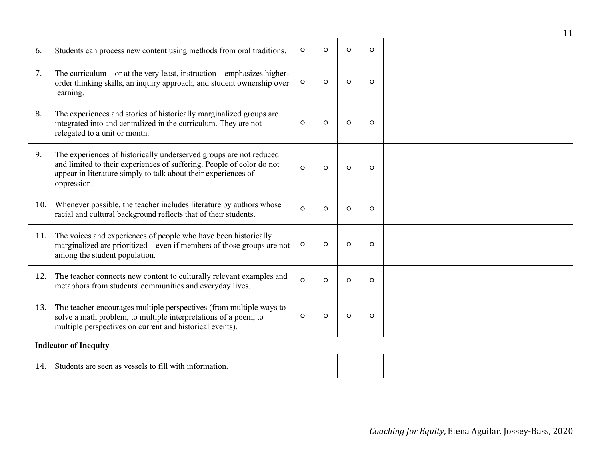|     |                                                                                                                                                                                                                              |          |          |          |          | 11 |
|-----|------------------------------------------------------------------------------------------------------------------------------------------------------------------------------------------------------------------------------|----------|----------|----------|----------|----|
| 6.  | Students can process new content using methods from oral traditions.                                                                                                                                                         | $\circ$  | $\Omega$ | $\Omega$ | $\Omega$ |    |
| 7.  | The curriculum—or at the very least, instruction—emphasizes higher-<br>order thinking skills, an inquiry approach, and student ownership over<br>learning.                                                                   | $\circ$  | $\circ$  | $\circ$  | $\circ$  |    |
| 8.  | The experiences and stories of historically marginalized groups are<br>integrated into and centralized in the curriculum. They are not<br>relegated to a unit or month.                                                      | $\circ$  | $\circ$  | $\circ$  | $\circ$  |    |
| 9.  | The experiences of historically underserved groups are not reduced<br>and limited to their experiences of suffering. People of color do not<br>appear in literature simply to talk about their experiences of<br>oppression. | $\circ$  | $\circ$  | $\circ$  | $\circ$  |    |
| 10. | Whenever possible, the teacher includes literature by authors whose<br>racial and cultural background reflects that of their students.                                                                                       | $\Omega$ | $\Omega$ | $\Omega$ | $\Omega$ |    |
| 11. | The voices and experiences of people who have been historically<br>marginalized are prioritized—even if members of those groups are not<br>among the student population.                                                     | $\circ$  | $\Omega$ | $\Omega$ | $\Omega$ |    |
| 12. | The teacher connects new content to culturally relevant examples and<br>metaphors from students' communities and everyday lives.                                                                                             | $\circ$  | $\circ$  | $\circ$  | O        |    |
| 13. | The teacher encourages multiple perspectives (from multiple ways to<br>solve a math problem, to multiple interpretations of a poem, to<br>multiple perspectives on current and historical events).                           | $\circ$  | $\circ$  | $\circ$  | $\circ$  |    |
|     | <b>Indicator of Inequity</b>                                                                                                                                                                                                 |          |          |          |          |    |
| 14. | Students are seen as vessels to fill with information.                                                                                                                                                                       |          |          |          |          |    |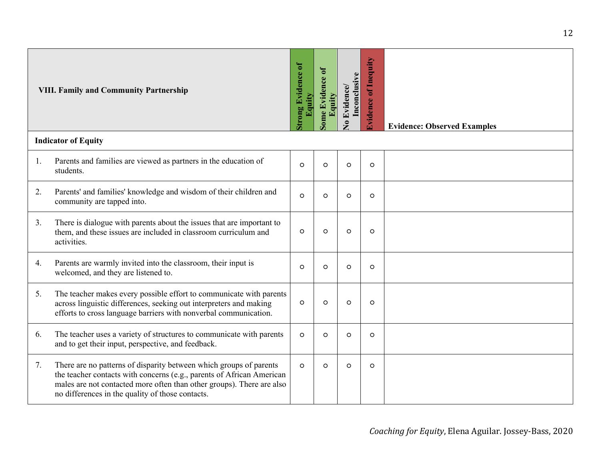|    | <b>VIII. Family and Community Partnership</b>                                                                                                                                                                                                                            | trong Evidence of<br>Equity | ome Evidence of<br>Equity | Inconclusive<br>Evidence/<br>$\bullet$ | <b>Ividence of Inequity</b> | <b>Evidence: Observed Examples</b> |
|----|--------------------------------------------------------------------------------------------------------------------------------------------------------------------------------------------------------------------------------------------------------------------------|-----------------------------|---------------------------|----------------------------------------|-----------------------------|------------------------------------|
|    | <b>Indicator of Equity</b>                                                                                                                                                                                                                                               |                             |                           |                                        |                             |                                    |
| 1. | Parents and families are viewed as partners in the education of<br>students.                                                                                                                                                                                             | $\circ$                     | $\circ$                   | $\circ$                                | $\circ$                     |                                    |
| 2. | Parents' and families' knowledge and wisdom of their children and<br>community are tapped into.                                                                                                                                                                          | $\circ$                     | $\circ$                   | $\circ$                                | $\circ$                     |                                    |
| 3. | There is dialogue with parents about the issues that are important to<br>them, and these issues are included in classroom curriculum and<br>activities.                                                                                                                  | $\circ$                     | $\circ$                   | $\circ$                                | $\circ$                     |                                    |
| 4. | Parents are warmly invited into the classroom, their input is<br>welcomed, and they are listened to.                                                                                                                                                                     | $\circ$                     | $\circ$                   | $\circ$                                | $\circ$                     |                                    |
| 5. | The teacher makes every possible effort to communicate with parents<br>across linguistic differences, seeking out interpreters and making<br>efforts to cross language barriers with nonverbal communication.                                                            | $\circ$                     | $\circ$                   | $\circ$                                | $\circ$                     |                                    |
| 6. | The teacher uses a variety of structures to communicate with parents<br>and to get their input, perspective, and feedback.                                                                                                                                               | $\circ$                     | $\Omega$                  | $\circ$                                | $\circ$                     |                                    |
| 7. | There are no patterns of disparity between which groups of parents<br>the teacher contacts with concerns (e.g., parents of African American<br>males are not contacted more often than other groups). There are also<br>no differences in the quality of those contacts. | $\circ$                     | $\Omega$                  | $\circ$                                | $\circ$                     |                                    |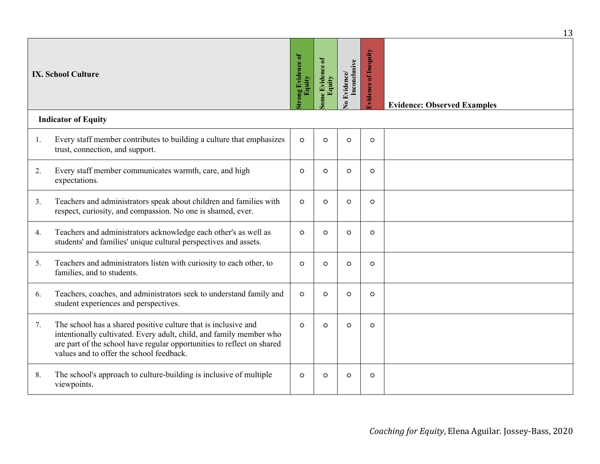|    |                                                                                                                                                                                                                                                             |                           |                           |                                              |                        | 13                                 |
|----|-------------------------------------------------------------------------------------------------------------------------------------------------------------------------------------------------------------------------------------------------------------|---------------------------|---------------------------|----------------------------------------------|------------------------|------------------------------------|
|    | <b>IX. School Culture</b>                                                                                                                                                                                                                                   | ong Evidence of<br>Equity | ome Evidence of<br>Equity | Inconclusive<br><b>Evidence</b><br>$\bullet$ | of Inequity<br>vidence | <b>Evidence: Observed Examples</b> |
|    | <b>Indicator of Equity</b>                                                                                                                                                                                                                                  |                           |                           |                                              |                        |                                    |
| 1. | Every staff member contributes to building a culture that emphasizes<br>trust, connection, and support.                                                                                                                                                     | $\circ$                   | $\circ$                   | $\circ$                                      | $\circ$                |                                    |
| 2. | Every staff member communicates warmth, care, and high<br>expectations.                                                                                                                                                                                     | $\circ$                   | $\circ$                   | $\circ$                                      | $\circ$                |                                    |
| 3. | Teachers and administrators speak about children and families with<br>respect, curiosity, and compassion. No one is shamed, ever.                                                                                                                           | $\circ$                   | $\circ$                   | $\circ$                                      | $\circ$                |                                    |
| 4. | Teachers and administrators acknowledge each other's as well as<br>students' and families' unique cultural perspectives and assets.                                                                                                                         | $\circ$                   | $\circ$                   | $\circ$                                      | $\circ$                |                                    |
| 5. | Teachers and administrators listen with curiosity to each other, to<br>families, and to students.                                                                                                                                                           | $\circ$                   | $\Omega$                  | $\circ$                                      | $\circ$                |                                    |
| 6. | Teachers, coaches, and administrators seek to understand family and<br>student experiences and perspectives.                                                                                                                                                | $\circ$                   | $\Omega$                  | $\circ$                                      | $\circ$                |                                    |
| 7. | The school has a shared positive culture that is inclusive and<br>intentionally cultivated. Every adult, child, and family member who<br>are part of the school have regular opportunities to reflect on shared<br>values and to offer the school feedback. | $\Omega$                  | $\Omega$                  | $\circ$                                      | $\circ$                |                                    |
| 8. | The school's approach to culture-building is inclusive of multiple<br>viewpoints.                                                                                                                                                                           | $\circ$                   | $\circ$                   | $\circ$                                      | $\circ$                |                                    |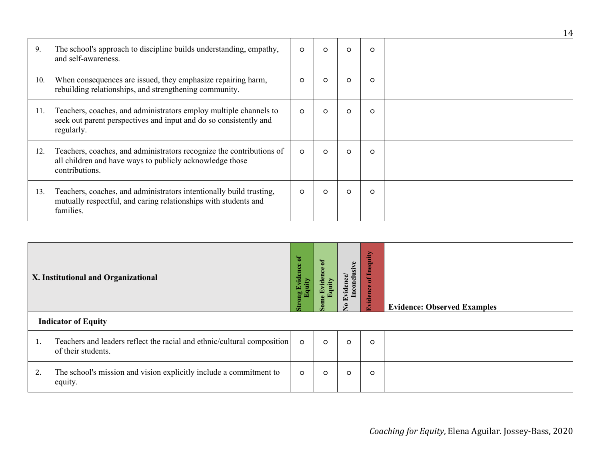|     |                                                                                                                                                      |         |          |         |         | 14 |
|-----|------------------------------------------------------------------------------------------------------------------------------------------------------|---------|----------|---------|---------|----|
| 9.  | The school's approach to discipline builds understanding, empathy,<br>and self-awareness.                                                            | $\circ$ | $\circ$  | $\circ$ | $\circ$ |    |
| 10. | When consequences are issued, they emphasize repairing harm,<br>rebuilding relationships, and strengthening community.                               | $\circ$ | $\Omega$ | $\circ$ | $\circ$ |    |
| 11. | Teachers, coaches, and administrators employ multiple channels to<br>seek out parent perspectives and input and do so consistently and<br>regularly. | $\circ$ | $\circ$  | $\circ$ | $\circ$ |    |
| 12. | Teachers, coaches, and administrators recognize the contributions of<br>all children and have ways to publicly acknowledge those<br>contributions.   | $\circ$ | $\circ$  | $\circ$ | $\circ$ |    |
| 13. | Teachers, coaches, and administrators intentionally build trusting,<br>mutually respectful, and caring relationships with students and<br>families.  | $\circ$ | $\circ$  | $\circ$ | $\circ$ |    |

|    | <b>X. Institutional and Organizational</b>                                                    | F<br>ridence | $\mathfrak{b}$<br>8 | Inconclusive<br>Evid<br>是 | dir<br>Ф<br>특<br>$\leftarrow$<br>$\bullet$<br>ပ္ပ<br>$\overline{\mathbf{5}}$<br>Evid | <b>Evidence: Observed Examples</b> |  |  |
|----|-----------------------------------------------------------------------------------------------|--------------|---------------------|---------------------------|--------------------------------------------------------------------------------------|------------------------------------|--|--|
|    | <b>Indicator of Equity</b>                                                                    |              |                     |                           |                                                                                      |                                    |  |  |
| T. | Teachers and leaders reflect the racial and ethnic/cultural composition<br>of their students. | $\circ$      | $\circ$             | $\circ$                   | $\circ$                                                                              |                                    |  |  |
| 2. | The school's mission and vision explicitly include a commitment to<br>equity.                 | $\circ$      | $\circ$             | $\circ$                   | $\circ$                                                                              |                                    |  |  |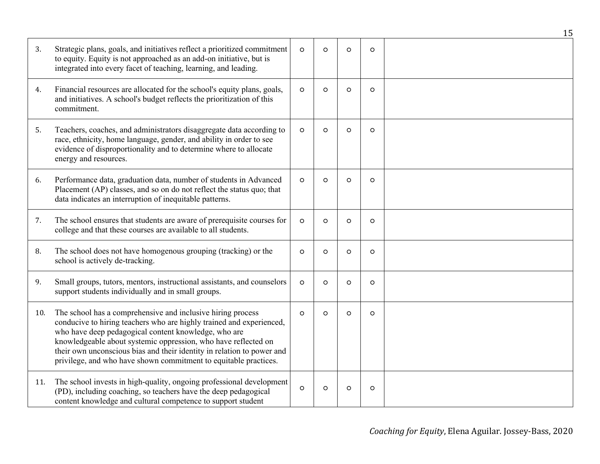|     |                                                                                                                                                                                                                                                                                                                                                                                                             |          |         |         |         | 15 |
|-----|-------------------------------------------------------------------------------------------------------------------------------------------------------------------------------------------------------------------------------------------------------------------------------------------------------------------------------------------------------------------------------------------------------------|----------|---------|---------|---------|----|
| 3.  | Strategic plans, goals, and initiatives reflect a prioritized commitment<br>to equity. Equity is not approached as an add-on initiative, but is<br>integrated into every facet of teaching, learning, and leading.                                                                                                                                                                                          | $\circ$  | $\circ$ | $\circ$ | $\circ$ |    |
| 4.  | Financial resources are allocated for the school's equity plans, goals,<br>and initiatives. A school's budget reflects the prioritization of this<br>commitment.                                                                                                                                                                                                                                            | $\circ$  | $\circ$ | $\circ$ | $\circ$ |    |
| 5.  | Teachers, coaches, and administrators disaggregate data according to<br>race, ethnicity, home language, gender, and ability in order to see<br>evidence of disproportionality and to determine where to allocate<br>energy and resources.                                                                                                                                                                   | $\circ$  | $\circ$ | $\circ$ | $\circ$ |    |
| 6.  | Performance data, graduation data, number of students in Advanced<br>Placement (AP) classes, and so on do not reflect the status quo; that<br>data indicates an interruption of inequitable patterns.                                                                                                                                                                                                       | $\circ$  | $\circ$ | $\circ$ | $\circ$ |    |
| 7.  | The school ensures that students are aware of prerequisite courses for<br>college and that these courses are available to all students.                                                                                                                                                                                                                                                                     | $\circ$  | $\circ$ | $\circ$ | $\circ$ |    |
| 8.  | The school does not have homogenous grouping (tracking) or the<br>school is actively de-tracking.                                                                                                                                                                                                                                                                                                           | $\circ$  | $\circ$ | $\circ$ | $\circ$ |    |
| 9.  | Small groups, tutors, mentors, instructional assistants, and counselors<br>support students individually and in small groups.                                                                                                                                                                                                                                                                               | $\circ$  | $\circ$ | $\circ$ | $\circ$ |    |
| 10. | The school has a comprehensive and inclusive hiring process<br>conducive to hiring teachers who are highly trained and experienced,<br>who have deep pedagogical content knowledge, who are<br>knowledgeable about systemic oppression, who have reflected on<br>their own unconscious bias and their identity in relation to power and<br>privilege, and who have shown commitment to equitable practices. | $\circ$  | $\circ$ | $\circ$ | $\circ$ |    |
| 11. | The school invests in high-quality, ongoing professional development<br>(PD), including coaching, so teachers have the deep pedagogical<br>content knowledge and cultural competence to support student                                                                                                                                                                                                     | $\Omega$ | $\circ$ | $\circ$ | $\circ$ |    |